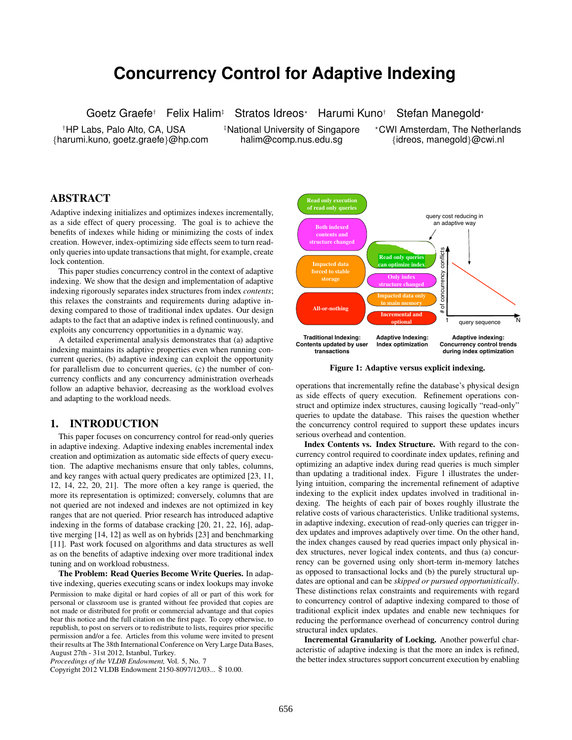# **Concurrency Control for Adaptive Indexing**

Goetz Graefe*†* Felix Halim*‡* Stratos Idreos? Harumi Kuno*†* Stefan Manegold?

*{*harumi.kuno, goetz.graefe*}*@hp.com halim@comp.nus.edu.sg *{*idreos, manegold*}*@cwi.nl

*†*HP Labs, Palo Alto, CA, USA *‡*National University of Singapore ?CWI Amsterdam, The Netherlands

### ABSTRACT

Adaptive indexing initializes and optimizes indexes incrementally, as a side effect of query processing. The goal is to achieve the benefits of indexes while hiding or minimizing the costs of index creation. However, index-optimizing side effects seem to turn readonly queries into update transactions that might, for example, create lock contention.

This paper studies concurrency control in the context of adaptive indexing. We show that the design and implementation of adaptive indexing rigorously separates index structures from index *contents*; this relaxes the constraints and requirements during adaptive indexing compared to those of traditional index updates. Our design adapts to the fact that an adaptive index is refined continuously, and exploits any concurrency opportunities in a dynamic way.

A detailed experimental analysis demonstrates that (a) adaptive indexing maintains its adaptive properties even when running concurrent queries, (b) adaptive indexing can exploit the opportunity for parallelism due to concurrent queries, (c) the number of concurrency conflicts and any concurrency administration overheads follow an adaptive behavior, decreasing as the workload evolves and adapting to the workload needs.

### 1. INTRODUCTION

This paper focuses on concurrency control for read-only queries in adaptive indexing. Adaptive indexing enables incremental index creation and optimization as automatic side effects of query execution. The adaptive mechanisms ensure that only tables, columns, and key ranges with actual query predicates are optimized [23, 11, 12, 14, 22, 20, 21]. The more often a key range is queried, the more its representation is optimized; conversely, columns that are not queried are not indexed and indexes are not optimized in key ranges that are not queried. Prior research has introduced adaptive indexing in the forms of database cracking [20, 21, 22, 16], adaptive merging [14, 12] as well as on hybrids [23] and benchmarking [11]. Past work focused on algorithms and data structures as well as on the benefits of adaptive indexing over more traditional index tuning and on workload robustness.

The Problem: Read Queries Become Write Queries. In adaptive indexing, queries executing scans or index lookups may invoke

Permission to make digital or hard copies of all or part of this work for personal or classroom use is granted without fee provided that copies are not made or distributed for profit or commercial advantage and that copies bear this notice and the full citation on the first page. To copy otherwise, to republish, to post on servers or to redistribute to lists, requires prior specific permission and/or a fee. Articles from this volume were invited to present their results at The 38th International Conference on Very Large Data Bases, August 27th - 31st 2012, Istanbul, Turkey.

*Proceedings of the VLDB Endowment,* Vol. 5, No. 7

Copyright 2012 VLDB Endowment 2150-8097/12/03... \$ 10.00.



Figure 1: Adaptive versus explicit indexing.

operations that incrementally refine the database's physical design as side effects of query execution. Refinement operations construct and optimize index structures, causing logically "read-only" queries to update the database. This raises the question whether the concurrency control required to support these updates incurs serious overhead and contention.

Index Contents vs. Index Structure. With regard to the concurrency control required to coordinate index updates, refining and optimizing an adaptive index during read queries is much simpler than updating a traditional index. Figure 1 illustrates the underlying intuition, comparing the incremental refinement of adaptive indexing to the explicit index updates involved in traditional indexing. The heights of each pair of boxes roughly illustrate the relative costs of various characteristics. Unlike traditional systems, in adaptive indexing, execution of read-only queries can trigger index updates and improves adaptively over time. On the other hand, the index changes caused by read queries impact only physical index structures, never logical index contents, and thus (a) concurrency can be governed using only short-term in-memory latches as opposed to transactional locks and (b) the purely structural updates are optional and can be *skipped or pursued opportunistically*. These distinctions relax constraints and requirements with regard to concurrency control of adaptive indexing compared to those of traditional explicit index updates and enable new techniques for reducing the performance overhead of concurrency control during structural index updates.

Incremental Granularity of Locking. Another powerful characteristic of adaptive indexing is that the more an index is refined, the better index structures support concurrent execution by enabling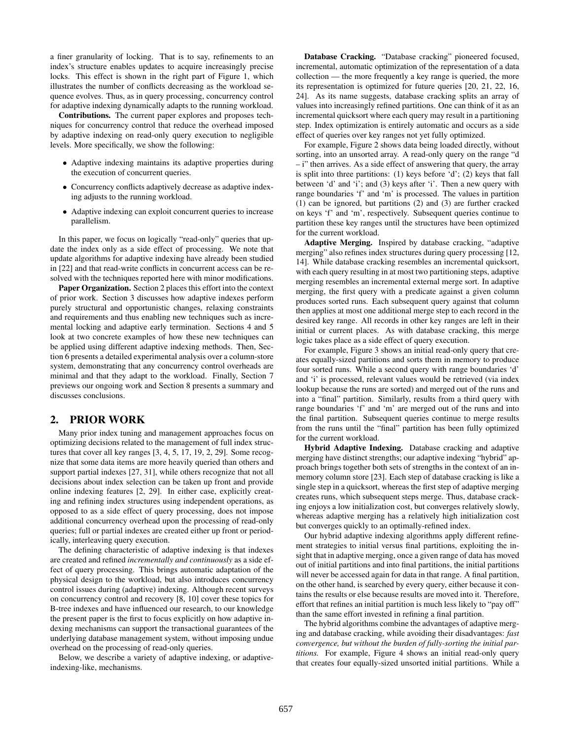a finer granularity of locking. That is to say, refinements to an index's structure enables updates to acquire increasingly precise locks. This effect is shown in the right part of Figure 1, which illustrates the number of conflicts decreasing as the workload sequence evolves. Thus, as in query processing, concurrency control for adaptive indexing dynamically adapts to the running workload.

Contributions. The current paper explores and proposes techniques for concurrency control that reduce the overhead imposed by adaptive indexing on read-only query execution to negligible levels. More specifically, we show the following:

- Adaptive indexing maintains its adaptive properties during the execution of concurrent queries.
- *•* Concurrency conflicts adaptively decrease as adaptive indexing adjusts to the running workload.
- *•* Adaptive indexing can exploit concurrent queries to increase parallelism.

In this paper, we focus on logically "read-only" queries that update the index only as a side effect of processing. We note that update algorithms for adaptive indexing have already been studied in [22] and that read-write conflicts in concurrent access can be resolved with the techniques reported here with minor modifications.

Paper Organization. Section 2 places this effort into the context of prior work. Section 3 discusses how adaptive indexes perform purely structural and opportunistic changes, relaxing constraints and requirements and thus enabling new techniques such as incremental locking and adaptive early termination. Sections 4 and 5 look at two concrete examples of how these new techniques can be applied using different adaptive indexing methods. Then, Section 6 presents a detailed experimental analysis over a column-store system, demonstrating that any concurrency control overheads are minimal and that they adapt to the workload. Finally, Section 7 previews our ongoing work and Section 8 presents a summary and discusses conclusions.

### 2. PRIOR WORK

Many prior index tuning and management approaches focus on optimizing decisions related to the management of full index structures that cover all key ranges [3, 4, 5, 17, 19, 2, 29]. Some recognize that some data items are more heavily queried than others and support partial indexes [27, 31], while others recognize that not all decisions about index selection can be taken up front and provide online indexing features [2, 29]. In either case, explicitly creating and refining index structures using independent operations, as opposed to as a side effect of query processing, does not impose additional concurrency overhead upon the processing of read-only queries; full or partial indexes are created either up front or periodically, interleaving query execution.

The defining characteristic of adaptive indexing is that indexes are created and refined *incrementally and continuously* as a side effect of query processing. This brings automatic adaptation of the physical design to the workload, but also introduces concurrency control issues during (adaptive) indexing. Although recent surveys on concurrency control and recovery [8, 10] cover these topics for B-tree indexes and have influenced our research, to our knowledge the present paper is the first to focus explicitly on how adaptive indexing mechanisms can support the transactional guarantees of the underlying database management system, without imposing undue overhead on the processing of read-only queries.

Below, we describe a variety of adaptive indexing, or adaptiveindexing-like, mechanisms.

Database Cracking. "Database cracking" pioneered focused, incremental, automatic optimization of the representation of a data collection — the more frequently a key range is queried, the more its representation is optimized for future queries [20, 21, 22, 16, 24]. As its name suggests, database cracking splits an array of values into increasingly refined partitions. One can think of it as an incremental quicksort where each query may result in a partitioning step. Index optimization is entirely automatic and occurs as a side effect of queries over key ranges not yet fully optimized.

For example, Figure 2 shows data being loaded directly, without sorting, into an unsorted array. A read-only query on the range "d – i" then arrives. As a side effect of answering that query, the array is split into three partitions: (1) keys before 'd'; (2) keys that fall between 'd' and 'i'; and (3) keys after 'i'. Then a new query with range boundaries 'f' and 'm' is processed. The values in partition (1) can be ignored, but partitions (2) and (3) are further cracked on keys 'f' and 'm', respectively. Subsequent queries continue to partition these key ranges until the structures have been optimized for the current workload.

Adaptive Merging. Inspired by database cracking, "adaptive merging" also refines index structures during query processing [12, 14]. While database cracking resembles an incremental quicksort, with each query resulting in at most two partitioning steps, adaptive merging resembles an incremental external merge sort. In adaptive merging, the first query with a predicate against a given column produces sorted runs. Each subsequent query against that column then applies at most one additional merge step to each record in the desired key range. All records in other key ranges are left in their initial or current places. As with database cracking, this merge logic takes place as a side effect of query execution.

For example, Figure 3 shows an initial read-only query that creates equally-sized partitions and sorts them in memory to produce four sorted runs. While a second query with range boundaries 'd' and 'i' is processed, relevant values would be retrieved (via index lookup because the runs are sorted) and merged out of the runs and into a "final" partition. Similarly, results from a third query with range boundaries 'f' and 'm' are merged out of the runs and into the final partition. Subsequent queries continue to merge results from the runs until the "final" partition has been fully optimized for the current workload.

Hybrid Adaptive Indexing. Database cracking and adaptive merging have distinct strengths; our adaptive indexing "hybrid" approach brings together both sets of strengths in the context of an inmemory column store [23]. Each step of database cracking is like a single step in a quicksort, whereas the first step of adaptive merging creates runs, which subsequent steps merge. Thus, database cracking enjoys a low initialization cost, but converges relatively slowly, whereas adaptive merging has a relatively high initialization cost but converges quickly to an optimally-refined index.

Our hybrid adaptive indexing algorithms apply different refinement strategies to initial versus final partitions, exploiting the insight that in adaptive merging, once a given range of data has moved out of initial partitions and into final partitions, the initial partitions will never be accessed again for data in that range. A final partition, on the other hand, is searched by every query, either because it contains the results or else because results are moved into it. Therefore, effort that refines an initial partition is much less likely to "pay off" than the same effort invested in refining a final partition.

The hybrid algorithms combine the advantages of adaptive merging and database cracking, while avoiding their disadvantages: *fast convergence, but without the burden of fully-sorting the initial partitions.* For example, Figure 4 shows an initial read-only query that creates four equally-sized unsorted initial partitions. While a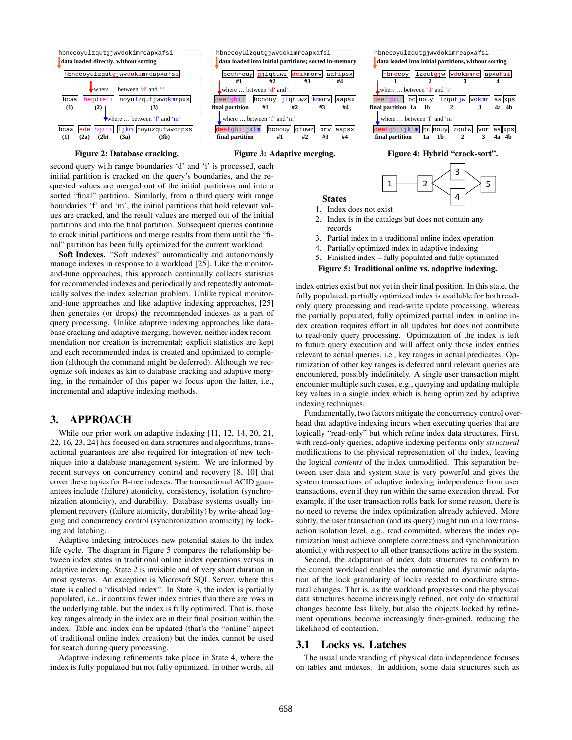

Figure 2: Database cracking.

bcehnouy gjlqtuwz deikmorv aafipsx where … between 'd' and 'i' where ... between 'f' and 'm hbnecoyulzqutgjwvdokimreapxafsi **data loaded into initial partitions; sorted in-memory** hii bcnouy jlqtuwz kmorv aapsx  $\begin{array}{lll} \frac{1 \texttt{i} \texttt{j} \texttt{k} \texttt{l} \texttt{m}}{1 \texttt{m}} & \frac{1 \texttt{d} \texttt{c} \texttt{m}}{1 \texttt{m}} & \frac{1 \texttt{d} \texttt{k} \texttt{l}}{1 \texttt{m}} & \frac{1 \texttt{d} \texttt{k}}{1 \texttt{m}} \end{array}$ **final partition #1 #2 #3 #4 #1 #2 #3 #4**  $\frac{1}{2}$  **final** partition orv aapsx

Figure 3: Adaptive merging.

second query with range boundaries 'd' and 'i' is processed, each initial partition is cracked on the query's boundaries, and the requested values are merged out of the initial partitions and into a sorted "final" partition. Similarly, from a third query with range boundaries 'f' and 'm', the initial partitions that hold relevant values are cracked, and the result values are merged out of the initial partitions and into the final partition. Subsequent queries continue to crack initial partitions and merge results from them until the "final" partition has been fully optimized for the current workload.

Soft Indexes. "Soft indexes" automatically and autonomously manage indexes in response to a workload [25]. Like the monitorand-tune approaches, this approach continually collects statistics for recommended indexes and periodically and repeatedly automatically solves the index selection problem. Unlike typical monitorand-tune approaches and like adaptive indexing approaches, [25] then generates (or drops) the recommended indexes as a part of query processing. Unlike adaptive indexing approaches like database cracking and adaptive merging, however, neither index recommendation nor creation is incremental; explicit statistics are kept and each recommended index is created and optimized to completion (although the command might be deferred). Although we recognize soft indexes as kin to database cracking and adaptive merging, in the remainder of this paper we focus upon the latter, i.e., incremental and adaptive indexing methods.

### 3. APPROACH

While our prior work on adaptive indexing [11, 12, 14, 20, 21, 22, 16, 23, 24] has focused on data structures and algorithms, transactional guarantees are also required for integration of new techniques into a database management system. We are informed by recent surveys on concurrency control and recovery [8, 10] that cover these topics for B-tree indexes. The transactional ACID guarantees include (failure) atomicity, consistency, isolation (synchronization atomicity), and durability. Database systems usually implement recovery (failure atomicity, durability) by write-ahead logging and concurrency control (synchronization atomicity) by locking and latching.

Adaptive indexing introduces new potential states to the index life cycle. The diagram in Figure 5 compares the relationship between index states in traditional online index operations versus in adaptive indexing. State 2 is invisible and of very short duration in most systems. An exception is Microsoft SQL Server, where this state is called a "disabled index". In State 3, the index is partially populated, i.e., it contains fewer index entries than there are rows in the underlying table, but the index is fully optimized. That is, those key ranges already in the index are in their final position within the index. Table and index can be updated (that's the "online" aspect of traditional online index creation) but the index cannot be used for search during query processing.

Adaptive indexing refinements take place in State 4, where the index is fully populated but not fully optimized. In other words, all



hbnecoyulzqutgjwvdokimreapxafsi **data loaded into initial partitions, without sorting**

<u>hbnecoy</u> |lzqutgjw| <mark>vdokimre</mark> |apxafsi

**1 2 3 4**

## $1 \rightarrow 2 \text{K} \equiv 35$ 3 States 14

- 1. Index does not exist
- 2. Index is in the catalogs but does not contain any records
- 3. Partial index in a traditional online index operation
- 4. Partially optimized index in adaptive indexing
- 5. Finished index fully populated and fully optimized Figure 5: Traditional online vs. adaptive indexing.

index entries exist but not yet in their final position. In this state, the fully populated, partially optimized index is available for both readonly query processing and read-write update processing, whereas the partially populated, fully optimized partial index in online index creation requires effort in all updates but does not contribute to read-only query processing. Optimization of the index is left to future query execution and will affect only those index entries relevant to actual queries, i.e., key ranges in actual predicates. Optimization of other key ranges is deferred until relevant queries are encountered, possibly indefinitely. A single user transaction might encounter multiple such cases, e.g., querying and updating multiple key values in a single index which is being optimized by adaptive indexing techniques.

Fundamentally, two factors mitigate the concurrency control overhead that adaptive indexing incurs when executing queries that are logically "read-only" but which refine index data structures. First, with read-only queries, adaptive indexing performs only *structural* modifications to the physical representation of the index, leaving the logical *contents* of the index unmodified. This separation between user data and system state is very powerful and gives the system transactions of adaptive indexing independence from user transactions, even if they run within the same execution thread. For example, if the user transaction rolls back for some reason, there is no need to reverse the index optimization already achieved. More subtly, the user transaction (and its query) might run in a low transaction isolation level, e.g., read committed, whereas the index optimization must achieve complete correctness and synchronization atomicity with respect to all other transactions active in the system.

Second, the adaptation of index data structures to conform to the current workload enables the automatic and dynamic adaptation of the lock granularity of locks needed to coordinate structural changes. That is, as the workload progresses and the physical data structures become increasingly refined, not only do structural changes become less likely, but also the objects locked by refinement operations become increasingly finer-grained, reducing the likelihood of contention.

### 3.1 Locks vs. Latches

The usual understanding of physical data independence focuses on tables and indexes. In addition, some data structures such as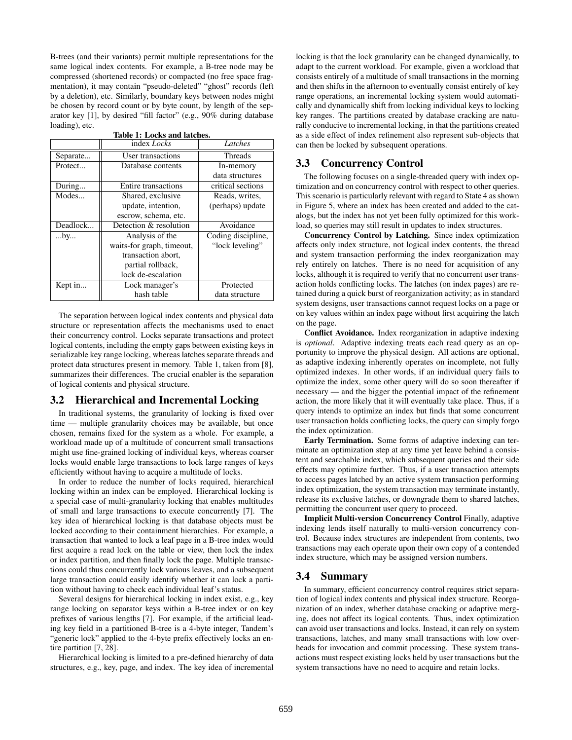B-trees (and their variants) permit multiple representations for the same logical index contents. For example, a B-tree node may be compressed (shortened records) or compacted (no free space fragmentation), it may contain "pseudo-deleted" "ghost" records (left by a deletion), etc. Similarly, boundary keys between nodes might be chosen by record count or by byte count, by length of the separator key [1], by desired "fill factor" (e.g., 90% during database loading), etc.

| таніе т. тоску апи такшем. |                           |                    |
|----------------------------|---------------------------|--------------------|
|                            | index <i>Locks</i>        | Latches            |
| Separate                   | User transactions         | <b>Threads</b>     |
| Protect                    | Database contents         | In-memory          |
|                            |                           | data structures    |
| During                     | Entire transactions       | critical sections  |
| Modes                      | Shared, exclusive         | Reads, writes,     |
|                            | update, intention,        | (perhaps) update   |
|                            | escrow, schema, etc.      |                    |
| Deadlock                   | Detection & resolution    | Avoidance          |
| by                         | Analysis of the           | Coding discipline, |
|                            | waits-for graph, timeout, | "lock leveling"    |
|                            | transaction abort.        |                    |
|                            | partial rollback,         |                    |
|                            | lock de-escalation        |                    |
| Kept in                    | Lock manager's            | Protected          |
|                            | hash table                | data structure     |

Table 1: Locks and latches.

The separation between logical index contents and physical data structure or representation affects the mechanisms used to enact their concurrency control. Locks separate transactions and protect logical contents, including the empty gaps between existing keys in serializable key range locking, whereas latches separate threads and protect data structures present in memory. Table 1, taken from [8], summarizes their differences. The crucial enabler is the separation of logical contents and physical structure.

### 3.2 Hierarchical and Incremental Locking

In traditional systems, the granularity of locking is fixed over time — multiple granularity choices may be available, but once chosen, remains fixed for the system as a whole. For example, a workload made up of a multitude of concurrent small transactions might use fine-grained locking of individual keys, whereas coarser locks would enable large transactions to lock large ranges of keys efficiently without having to acquire a multitude of locks.

In order to reduce the number of locks required, hierarchical locking within an index can be employed. Hierarchical locking is a special case of multi-granularity locking that enables multitudes of small and large transactions to execute concurrently [7]. The key idea of hierarchical locking is that database objects must be locked according to their containment hierarchies. For example, a transaction that wanted to lock a leaf page in a B-tree index would first acquire a read lock on the table or view, then lock the index or index partition, and then finally lock the page. Multiple transactions could thus concurrently lock various leaves, and a subsequent large transaction could easily identify whether it can lock a partition without having to check each individual leaf's status.

Several designs for hierarchical locking in index exist, e.g., key range locking on separator keys within a B-tree index or on key prefixes of various lengths [7]. For example, if the artificial leading key field in a partitioned B-tree is a 4-byte integer, Tandem's "generic lock" applied to the 4-byte prefix effectively locks an entire partition [7, 28].

Hierarchical locking is limited to a pre-defined hierarchy of data structures, e.g., key, page, and index. The key idea of incremental locking is that the lock granularity can be changed dynamically, to adapt to the current workload. For example, given a workload that consists entirely of a multitude of small transactions in the morning and then shifts in the afternoon to eventually consist entirely of key range operations, an incremental locking system would automatically and dynamically shift from locking individual keys to locking key ranges. The partitions created by database cracking are naturally conducive to incremental locking, in that the partitions created as a side effect of index refinement also represent sub-objects that can then be locked by subsequent operations.

### 3.3 Concurrency Control

The following focuses on a single-threaded query with index optimization and on concurrency control with respect to other queries. This scenario is particularly relevant with regard to State 4 as shown in Figure 5, where an index has been created and added to the catalogs, but the index has not yet been fully optimized for this workload, so queries may still result in updates to index structures.

Concurrency Control by Latching. Since index optimization affects only index structure, not logical index contents, the thread and system transaction performing the index reorganization may rely entirely on latches. There is no need for acquisition of any locks, although it is required to verify that no concurrent user transaction holds conflicting locks. The latches (on index pages) are retained during a quick burst of reorganization activity; as in standard system designs, user transactions cannot request locks on a page or on key values within an index page without first acquiring the latch on the page.

Conflict Avoidance. Index reorganization in adaptive indexing is *optional*. Adaptive indexing treats each read query as an opportunity to improve the physical design. All actions are optional, as adaptive indexing inherently operates on incomplete, not fully optimized indexes. In other words, if an individual query fails to optimize the index, some other query will do so soon thereafter if necessary — and the bigger the potential impact of the refinement action, the more likely that it will eventually take place. Thus, if a query intends to optimize an index but finds that some concurrent user transaction holds conflicting locks, the query can simply forgo the index optimization.

Early Termination. Some forms of adaptive indexing can terminate an optimization step at any time yet leave behind a consistent and searchable index, which subsequent queries and their side effects may optimize further. Thus, if a user transaction attempts to access pages latched by an active system transaction performing index optimization, the system transaction may terminate instantly, release its exclusive latches, or downgrade them to shared latches, permitting the concurrent user query to proceed.

Implicit Multi-version Concurrency Control Finally, adaptive indexing lends itself naturally to multi-version concurrency control. Because index structures are independent from contents, two transactions may each operate upon their own copy of a contended index structure, which may be assigned version numbers.

### 3.4 Summary

In summary, efficient concurrency control requires strict separation of logical index contents and physical index structure. Reorganization of an index, whether database cracking or adaptive merging, does not affect its logical contents. Thus, index optimization can avoid user transactions and locks. Instead, it can rely on system transactions, latches, and many small transactions with low overheads for invocation and commit processing. These system transactions must respect existing locks held by user transactions but the system transactions have no need to acquire and retain locks.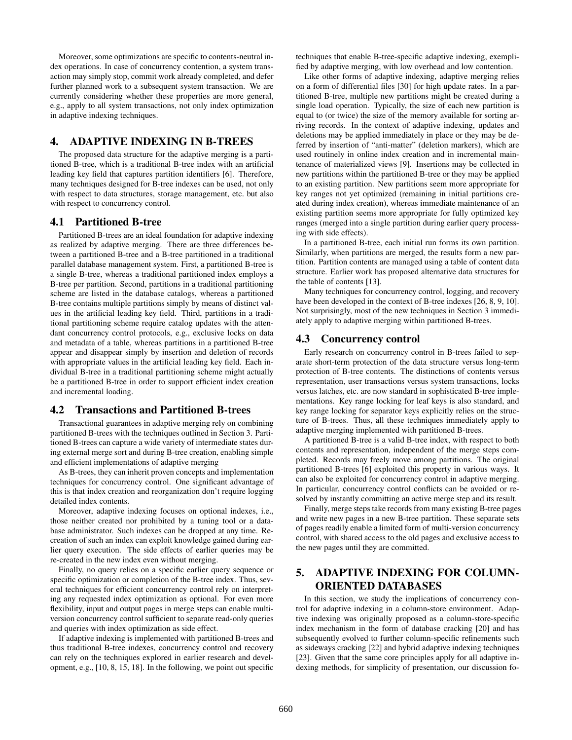Moreover, some optimizations are specific to contents-neutral index operations. In case of concurrency contention, a system transaction may simply stop, commit work already completed, and defer further planned work to a subsequent system transaction. We are currently considering whether these properties are more general, e.g., apply to all system transactions, not only index optimization in adaptive indexing techniques.

### 4. ADAPTIVE INDEXING IN B-TREES

The proposed data structure for the adaptive merging is a partitioned B-tree, which is a traditional B-tree index with an artificial leading key field that captures partition identifiers [6]. Therefore, many techniques designed for B-tree indexes can be used, not only with respect to data structures, storage management, etc. but also with respect to concurrency control.

### 4.1 Partitioned B-tree

Partitioned B-trees are an ideal foundation for adaptive indexing as realized by adaptive merging. There are three differences between a partitioned B-tree and a B-tree partitioned in a traditional parallel database management system. First, a partitioned B-tree is a single B-tree, whereas a traditional partitioned index employs a B-tree per partition. Second, partitions in a traditional partitioning scheme are listed in the database catalogs, whereas a partitioned B-tree contains multiple partitions simply by means of distinct values in the artificial leading key field. Third, partitions in a traditional partitioning scheme require catalog updates with the attendant concurrency control protocols, e.g., exclusive locks on data and metadata of a table, whereas partitions in a partitioned B-tree appear and disappear simply by insertion and deletion of records with appropriate values in the artificial leading key field. Each individual B-tree in a traditional partitioning scheme might actually be a partitioned B-tree in order to support efficient index creation and incremental loading.

### 4.2 Transactions and Partitioned B-trees

Transactional guarantees in adaptive merging rely on combining partitioned B-trees with the techniques outlined in Section 3. Partitioned B-trees can capture a wide variety of intermediate states during external merge sort and during B-tree creation, enabling simple and efficient implementations of adaptive merging

As B-trees, they can inherit proven concepts and implementation techniques for concurrency control. One significant advantage of this is that index creation and reorganization don't require logging detailed index contents.

Moreover, adaptive indexing focuses on optional indexes, i.e., those neither created nor prohibited by a tuning tool or a database administrator. Such indexes can be dropped at any time. Recreation of such an index can exploit knowledge gained during earlier query execution. The side effects of earlier queries may be re-created in the new index even without merging.

Finally, no query relies on a specific earlier query sequence or specific optimization or completion of the B-tree index. Thus, several techniques for efficient concurrency control rely on interpreting any requested index optimization as optional. For even more flexibility, input and output pages in merge steps can enable multiversion concurrency control sufficient to separate read-only queries and queries with index optimization as side effect.

If adaptive indexing is implemented with partitioned B-trees and thus traditional B-tree indexes, concurrency control and recovery can rely on the techniques explored in earlier research and development, e.g., [10, 8, 15, 18]. In the following, we point out specific techniques that enable B-tree-specific adaptive indexing, exemplified by adaptive merging, with low overhead and low contention.

Like other forms of adaptive indexing, adaptive merging relies on a form of differential files [30] for high update rates. In a partitioned B-tree, multiple new partitions might be created during a single load operation. Typically, the size of each new partition is equal to (or twice) the size of the memory available for sorting arriving records. In the context of adaptive indexing, updates and deletions may be applied immediately in place or they may be deferred by insertion of "anti-matter" (deletion markers), which are used routinely in online index creation and in incremental maintenance of materialized views [9]. Insertions may be collected in new partitions within the partitioned B-tree or they may be applied to an existing partition. New partitions seem more appropriate for key ranges not yet optimized (remaining in initial partitions created during index creation), whereas immediate maintenance of an existing partition seems more appropriate for fully optimized key ranges (merged into a single partition during earlier query processing with side effects).

In a partitioned B-tree, each initial run forms its own partition. Similarly, when partitions are merged, the results form a new partition. Partition contents are managed using a table of content data structure. Earlier work has proposed alternative data structures for the table of contents [13].

Many techniques for concurrency control, logging, and recovery have been developed in the context of B-tree indexes [26, 8, 9, 10]. Not surprisingly, most of the new techniques in Section 3 immediately apply to adaptive merging within partitioned B-trees.

### 4.3 Concurrency control

Early research on concurrency control in B-trees failed to separate short-term protection of the data structure versus long-term protection of B-tree contents. The distinctions of contents versus representation, user transactions versus system transactions, locks versus latches, etc. are now standard in sophisticated B-tree implementations. Key range locking for leaf keys is also standard, and key range locking for separator keys explicitly relies on the structure of B-trees. Thus, all these techniques immediately apply to adaptive merging implemented with partitioned B-trees.

A partitioned B-tree is a valid B-tree index, with respect to both contents and representation, independent of the merge steps completed. Records may freely move among partitions. The original partitioned B-trees [6] exploited this property in various ways. It can also be exploited for concurrency control in adaptive merging. In particular, concurrency control conflicts can be avoided or resolved by instantly committing an active merge step and its result.

Finally, merge steps take records from many existing B-tree pages and write new pages in a new B-tree partition. These separate sets of pages readily enable a limited form of multi-version concurrency control, with shared access to the old pages and exclusive access to the new pages until they are committed.

### 5. ADAPTIVE INDEXING FOR COLUMN-ORIENTED DATABASES

In this section, we study the implications of concurrency control for adaptive indexing in a column-store environment. Adaptive indexing was originally proposed as a column-store-specific index mechanism in the form of database cracking [20] and has subsequently evolved to further column-specific refinements such as sideways cracking [22] and hybrid adaptive indexing techniques [23]. Given that the same core principles apply for all adaptive indexing methods, for simplicity of presentation, our discussion fo-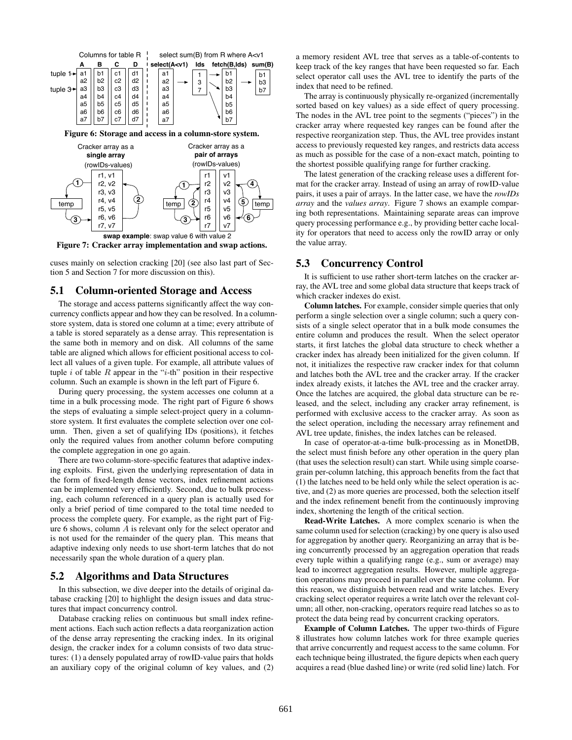

cuses mainly on selection cracking [20] (see also last part of Sec-

#### 5.1 Column-oriented Storage and Access

tion 5 and Section 7 for more discussion on this).

The storage and access patterns significantly affect the way concurrency conflicts appear and how they can be resolved. In a columnstore system, data is stored one column at a time; every attribute of a table is stored separately as a dense array. This representation is the same both in memory and on disk. All columns of the same table are aligned which allows for efficient positional access to collect all values of a given tuple. For example, all attribute values of tuple *i* of table *R* appear in the "*i*-th" position in their respective column. Such an example is shown in the left part of Figure 6.

During query processing, the system accesses one column at a time in a bulk processing mode. The right part of Figure 6 shows the steps of evaluating a simple select-project query in a columnstore system. It first evaluates the complete selection over one column. Then, given a set of qualifying IDs (positions), it fetches only the required values from another column before computing the complete aggregation in one go again.

There are two column-store-specific features that adaptive indexing exploits. First, given the underlying representation of data in the form of fixed-length dense vectors, index refinement actions can be implemented very efficiently. Second, due to bulk processing, each column referenced in a query plan is actually used for only a brief period of time compared to the total time needed to process the complete query. For example, as the right part of Figure 6 shows, column *A* is relevant only for the select operator and is not used for the remainder of the query plan. This means that adaptive indexing only needs to use short-term latches that do not necessarily span the whole duration of a query plan.

### 5.2 Algorithms and Data Structures

In this subsection, we dive deeper into the details of original database cracking [20] to highlight the design issues and data structures that impact concurrency control.

Database cracking relies on continuous but small index refinement actions. Each such action reflects a data reorganization action of the dense array representing the cracking index. In its original design, the cracker index for a column consists of two data structures: (1) a densely populated array of rowID-value pairs that holds an auxiliary copy of the original column of key values, and (2) a memory resident AVL tree that serves as a table-of-contents to keep track of the key ranges that have been requested so far. Each select operator call uses the AVL tree to identify the parts of the index that need to be refined.

The array is continuously physically re-organized (incrementally sorted based on key values) as a side effect of query processing. The nodes in the AVL tree point to the segments ("pieces") in the cracker array where requested key ranges can be found after the respective reorganization step. Thus, the AVL tree provides instant access to previously requested key ranges, and restricts data access as much as possible for the case of a non-exact match, pointing to the shortest possible qualifying range for further cracking.

The latest generation of the cracking release uses a different format for the cracker array. Instead of using an array of rowID-value pairs, it uses a pair of arrays. In the latter case, we have the *rowIDs array* and the *values array*. Figure 7 shows an example comparing both representations. Maintaining separate areas can improve query processing performance e.g., by providing better cache locality for operators that need to access only the rowID array or only the value array.

#### 5.3 Concurrency Control

It is sufficient to use rather short-term latches on the cracker array, the AVL tree and some global data structure that keeps track of which cracker indexes do exist.

Column latches. For example, consider simple queries that only perform a single selection over a single column; such a query consists of a single select operator that in a bulk mode consumes the entire column and produces the result. When the select operator starts, it first latches the global data structure to check whether a cracker index has already been initialized for the given column. If not, it initializes the respective raw cracker index for that column and latches both the AVL tree and the cracker array. If the cracker index already exists, it latches the AVL tree and the cracker array. Once the latches are acquired, the global data structure can be released, and the select, including any cracker array refinement, is performed with exclusive access to the cracker array. As soon as the select operation, including the necessary array refinement and AVL tree update, finishes, the index latches can be released.

In case of operator-at-a-time bulk-processing as in MonetDB, the select must finish before any other operation in the query plan (that uses the selection result) can start. While using simple coarsegrain per-column latching, this approach benefits from the fact that (1) the latches need to be held only while the select operation is active, and (2) as more queries are processed, both the selection itself and the index refinement benefit from the continuously improving index, shortening the length of the critical section.

Read-Write Latches. A more complex scenario is when the same column used for selection (cracking) by one query is also used for aggregation by another query. Reorganizing an array that is being concurrently processed by an aggregation operation that reads every tuple within a qualifying range (e.g., sum or average) may lead to incorrect aggregation results. However, multiple aggregation operations may proceed in parallel over the same column. For this reason, we distinguish between read and write latches. Every cracking select operator requires a write latch over the relevant column; all other, non-cracking, operators require read latches so as to protect the data being read by concurrent cracking operators.

Example of Column Latches. The upper two-thirds of Figure 8 illustrates how column latches work for three example queries that arrive concurrently and request access to the same column. For each technique being illustrated, the figure depicts when each query acquires a read (blue dashed line) or write (red solid line) latch. For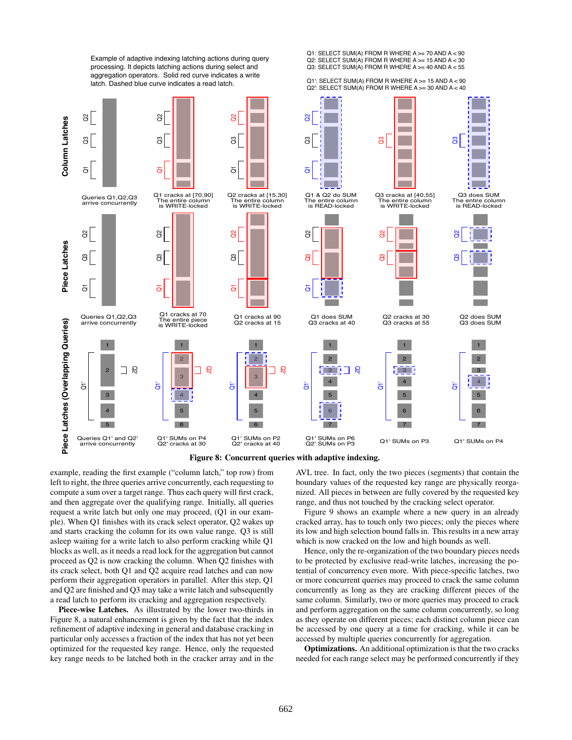

#### Figure 8: Concurrent queries with adaptive indexing.

example, reading the first example ("column latch," top row) from left to right, the three queries arrive concurrently, each requesting to compute a sum over a target range. Thus each query will first crack, and then aggregate over the qualifying range. Initially, all queries request a write latch but only one may proceed, (Q1 in our example). When Q1 finishes with its crack select operator, Q2 wakes up and starts cracking the column for its own value range. Q3 is still asleep waiting for a write latch to also perform cracking while Q1 blocks as well, as it needs a read lock for the aggregation but cannot proceed as Q2 is now cracking the column. When Q2 finishes with its crack select, both Q1 and Q2 acquire read latches and can now perform their aggregation operators in parallel. After this step, Q1 and Q2 are finished and Q3 may take a write latch and subsequently a read latch to perform its cracking and aggregation respectively.

Piece-wise Latches. As illustrated by the lower two-thirds in Figure 8, a natural enhancement is given by the fact that the index refinement of adaptive indexing in general and database cracking in particular only accesses a fraction of the index that has not yet been optimized for the requested key range. Hence, only the requested key range needs to be latched both in the cracker array and in the

AVL tree. In fact, only the two pieces (segments) that contain the boundary values of the requested key range are physically reorganized. All pieces in between are fully covered by the requested key range, and thus not touched by the cracking select operator.

Figure 9 shows an example where a new query in an already cracked array, has to touch only two pieces; only the pieces where its low and high selection bound falls in. This results in a new array which is now cracked on the low and high bounds as well.

Hence, only the re-organization of the two boundary pieces needs to be protected by exclusive read-write latches, increasing the potential of concurrency even more. With piece-specific latches, two or more concurrent queries may proceed to crack the same column concurrently as long as they are cracking different pieces of the same column. Similarly, two or more queries may proceed to crack and perform aggregation on the same column concurrently, so long as they operate on different pieces; each distinct column piece can be accessed by one query at a time for cracking, while it can be accessed by multiple queries concurrently for aggregation.

Optimizations. An additional optimization is that the two cracks needed for each range select may be performed concurrently if they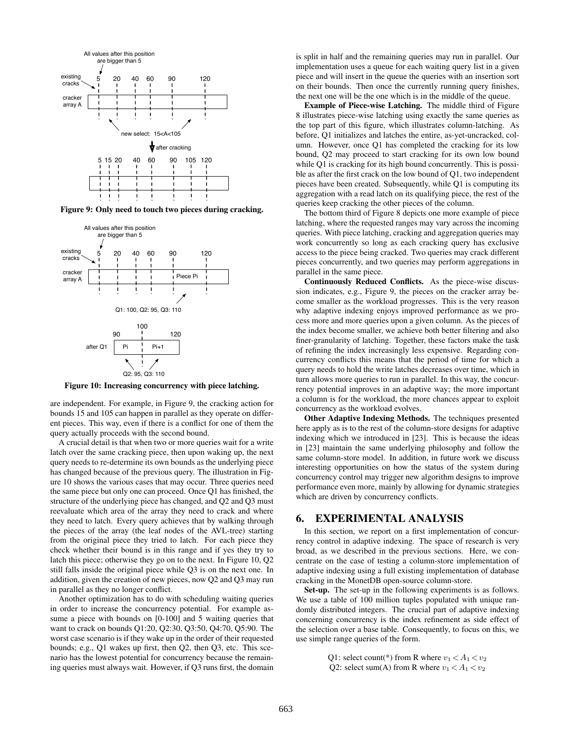

Figure 9: Only need to touch two pieces during cracking.



Figure 10: Increasing concurrency with piece latching.

are independent. For example, in Figure 9, the cracking action for bounds 15 and 105 can happen in parallel as they operate on different pieces. This way, even if there is a conflict for one of them the query actually proceeds with the second bound.

A crucial detail is that when two or more queries wait for a write latch over the same cracking piece, then upon waking up, the next query needs to re-determine its own bounds as the underlying piece has changed because of the previous query. The illustration in Figure 10 shows the various cases that may occur. Three queries need the same piece but only one can proceed. Once Q1 has finished, the structure of the underlying piece has changed, and Q2 and Q3 must reevaluate which area of the array they need to crack and where they need to latch. Every query achieves that by walking through the pieces of the array (the leaf nodes of the AVL-tree) starting from the original piece they tried to latch. For each piece they check whether their bound is in this range and if yes they try to latch this piece; otherwise they go on to the next. In Figure 10, Q2 still falls inside the original piece while Q3 is on the next one. In addition, given the creation of new pieces, now Q2 and Q3 may run in parallel as they no longer conflict.

Another optimization has to do with scheduling waiting queries in order to increase the concurrency potential. For example assume a piece with bounds on [0-100] and 5 waiting queries that want to crack on bounds Q1:20, Q2:30, Q3:50, Q4:70, Q5:90. The worst case scenario is if they wake up in the order of their requested bounds; e.g., Q1 wakes up first, then Q2, then Q3, etc. This scenario has the lowest potential for concurrency because the remaining queries must always wait. However, if Q3 runs first, the domain

is split in half and the remaining queries may run in parallel. Our implementation uses a queue for each waiting query list in a given piece and will insert in the queue the queries with an insertion sort on their bounds. Then once the currently running query finishes, the next one will be the one which is in the middle of the queue.

Example of Piece-wise Latching. The middle third of Figure 8 illustrates piece-wise latching using exactly the same queries as the top part of this figure, which illustrates column-latching. As before, Q1 initializes and latches the entire, as-yet-uncracked, column. However, once Q1 has completed the cracking for its low bound, Q2 may proceed to start cracking for its own low bound while Q1 is cracking for its high bound concurrently. This is possible as after the first crack on the low bound of Q1, two independent pieces have been created. Subsequently, while Q1 is computing its aggregation with a read latch on its qualifying piece, the rest of the queries keep cracking the other pieces of the column.

The bottom third of Figure 8 depicts one more example of piece latching, where the requested ranges may vary across the incoming queries. With piece latching, cracking and aggregation queries may work concurrently so long as each cracking query has exclusive access to the piece being cracked. Two queries may crack different pieces concurrently, and two queries may perform aggregations in parallel in the same piece.

Continuously Reduced Conflicts. As the piece-wise discussion indicates, e.g., Figure 9, the pieces on the cracker array become smaller as the workload progresses. This is the very reason why adaptive indexing enjoys improved performance as we process more and more queries upon a given column. As the pieces of the index become smaller, we achieve both better filtering and also finer-granularity of latching. Together, these factors make the task of refining the index increasingly less expensive. Regarding concurrency conflicts this means that the period of time for which a query needs to hold the write latches decreases over time, which in turn allows more queries to run in parallel. In this way, the concurrency potential improves in an adaptive way; the more important a column is for the workload, the more chances appear to exploit concurrency as the workload evolves.

Other Adaptive Indexing Methods. The techniques presented here apply as is to the rest of the column-store designs for adaptive indexing which we introduced in [23]. This is because the ideas in [23] maintain the same underlying philosophy and follow the same column-store model. In addition, in future work we discuss interesting opportunities on how the status of the system during concurrency control may trigger new algorithm designs to improve performance even more, mainly by allowing for dynamic strategies which are driven by concurrency conflicts.

### 6. EXPERIMENTAL ANALYSIS

In this section, we report on a first implementation of concurrency control in adaptive indexing. The space of research is very broad, as we described in the previous sections. Here, we concentrate on the case of testing a column-store implementation of adaptive indexing using a full existing implementation of database cracking in the MonetDB open-source column-store.

Set-up. The set-up in the following experiments is as follows. We use a table of 100 million tuples populated with unique randomly distributed integers. The crucial part of adaptive indexing concerning concurrency is the index refinement as side effect of the selection over a base table. Consequently, to focus on this, we use simple range queries of the form.

> Q1: select count(\*) from R where  $v_1 < A_1 < v_2$ Q2: select sum(A) from R where  $v_1 < A_1 < v_2$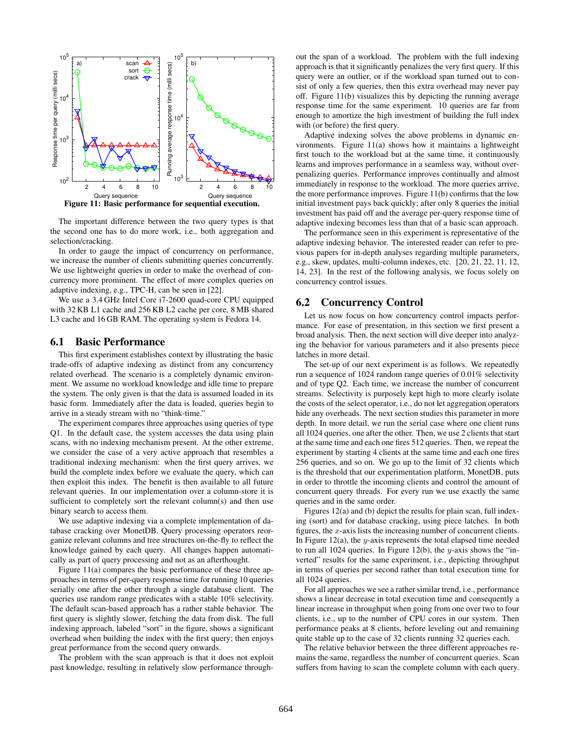

The important difference between the two query types is that the second one has to do more work, i.e., both aggregation and selection/cracking.

In order to gauge the impact of concurrency on performance, we increase the number of clients submitting queries concurrently. We use lightweight queries in order to make the overhead of concurrency more prominent. The effect of more complex queries on adaptive indexing, e.g., TPC-H, can be seen in [22].

We use a 3.4 GHz Intel Core i7-2600 quad-core CPU equipped with 32 KB L1 cache and 256 KB L2 cache per core, 8 MB shared L3 cache and 16 GB RAM. The operating system is Fedora 14.

#### 6.1 Basic Performance

This first experiment establishes context by illustrating the basic trade-offs of adaptive indexing as distinct from any concurrency related overhead. The scenario is a completely dynamic environment. We assume no workload knowledge and idle time to prepare the system. The only given is that the data is assumed loaded in its basic form. Immediately after the data is loaded, queries begin to arrive in a steady stream with no "think-time."

The experiment compares three approaches using queries of type Q1. In the default case, the system accesses the data using plain scans, with no indexing mechanism present. At the other extreme, we consider the case of a very active approach that resembles a traditional indexing mechanism: when the first query arrives, we build the complete index before we evaluate the query, which can then exploit this index. The benefit is then available to all future relevant queries. In our implementation over a column-store it is sufficient to completely sort the relevant column(s) and then use binary search to access them.

We use adaptive indexing via a complete implementation of database cracking over MonetDB. Query processing operators reorganize relevant columns and tree structures on-the-fly to reflect the knowledge gained by each query. All changes happen automatically as part of query processing and not as an afterthought.

Figure 11(a) compares the basic performance of these three approaches in terms of per-query response time for running 10 queries serially one after the other through a single database client. The queries use random range predicates with a stable 10% selectivity. The default scan-based approach has a rather stable behavior. The first query is slightly slower, fetching the data from disk. The full indexing approach, labeled "sort" in the figure, shows a significant overhead when building the index with the first query; then enjoys great performance from the second query onwards.

The problem with the scan approach is that it does not exploit past knowledge, resulting in relatively slow performance throughout the span of a workload. The problem with the full indexing approach is that it significantly penalizes the very first query. If this query were an outlier, or if the workload span turned out to consist of only a few queries, then this extra overhead may never pay off. Figure 11(b) visualizes this by depicting the running average response time for the same experiment. 10 queries are far from enough to amortize the high investment of building the full index with (or before) the first query.

Adaptive indexing solves the above problems in dynamic environments. Figure 11(a) shows how it maintains a lightweight first touch to the workload but at the same time, it continuously learns and improves performance in a seamless way, without overpenalizing queries. Performance improves continually and almost immediately in response to the workload. The more queries arrive, the more performance improves. Figure 11(b) confirms that the low initial investment pays back quickly; after only 8 queries the initial investment has paid off and the average per-query response time of adaptive indexing becomes less than that of a basic scan approach.

The performance seen in this experiment is representative of the adaptive indexing behavior. The interested reader can refer to previous papers for in-depth analyses regarding multiple parameters, e.g., skew, updates, multi-column indexes, etc. [20, 21, 22, 11, 12, 14, 23]. In the rest of the following analysis, we focus solely on concurrency control issues.

### 6.2 Concurrency Control

Let us now focus on how concurrency control impacts performance. For ease of presentation, in this section we first present a broad analysis. Then, the next section will dive deeper into analyzing the behavior for various parameters and it also presents piece latches in more detail.

The set-up of our next experiment is as follows. We repeatedly run a sequence of 1024 random range queries of 0.01% selectivity and of type Q2. Each time, we increase the number of concurrent streams. Selectivity is purposely kept high to more clearly isolate the costs of the select operator, i.e., do not let aggregation operators hide any overheads. The next section studies this parameter in more depth. In more detail, we run the serial case where one client runs all 1024 queries, one after the other. Then, we use 2 clients that start at the same time and each one fires 512 queries. Then, we repeat the experiment by starting 4 clients at the same time and each one fires 256 queries, and so on. We go up to the limit of 32 clients which is the threshold that our experimentation platform, MonetDB, puts in order to throttle the incoming clients and control the amount of concurrent query threads. For every run we use exactly the same queries and in the same order.

Figures 12(a) and (b) depict the results for plain scan, full indexing (sort) and for database cracking, using piece latches. In both figures, the *x*-axis lists the increasing number of concurrent clients. In Figure 12(a), the *y*-axis represents the total elapsed time needed to run all 1024 queries. In Figure 12(b), the *y*-axis shows the "inverted" results for the same experiment, i.e., depicting throughput in terms of queries per second rather than total execution time for all 1024 queries.

For all approaches we see a rather similar trend, i.e., performance shows a linear decrease in total execution time and consequently a linear increase in throughput when going from one over two to four clients, i.e., up to the number of CPU cores in our system. Then performance peaks at 8 clients, before leveling out and remaining quite stable up to the case of 32 clients running 32 queries each.

The relative behavior between the three different approaches remains the same, regardless the number of concurrent queries. Scan suffers from having to scan the complete column with each query.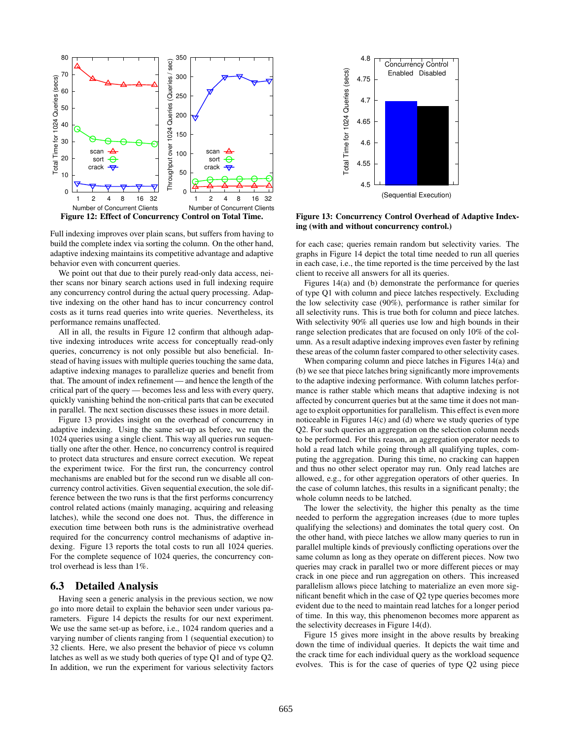

Figure 12: Effect of Concurrency Control on Total Time.

Full indexing improves over plain scans, but suffers from having to build the complete index via sorting the column. On the other hand, adaptive indexing maintains its competitive advantage and adaptive behavior even with concurrent queries.

We point out that due to their purely read-only data access, neither scans nor binary search actions used in full indexing require any concurrency control during the actual query processing. Adaptive indexing on the other hand has to incur concurrency control costs as it turns read queries into write queries. Nevertheless, its performance remains unaffected.

All in all, the results in Figure 12 confirm that although adaptive indexing introduces write access for conceptually read-only queries, concurrency is not only possible but also beneficial. Instead of having issues with multiple queries touching the same data, adaptive indexing manages to parallelize queries and benefit from that. The amount of index refinement — and hence the length of the critical part of the query — becomes less and less with every query, quickly vanishing behind the non-critical parts that can be executed in parallel. The next section discusses these issues in more detail.

Figure 13 provides insight on the overhead of concurrency in adaptive indexing. Using the same set-up as before, we run the 1024 queries using a single client. This way all queries run sequentially one after the other. Hence, no concurrency control is required to protect data structures and ensure correct execution. We repeat the experiment twice. For the first run, the concurrency control mechanisms are enabled but for the second run we disable all concurrency control activities. Given sequential execution, the sole difference between the two runs is that the first performs concurrency control related actions (mainly managing, acquiring and releasing latches), while the second one does not. Thus, the difference in execution time between both runs is the administrative overhead required for the concurrency control mechanisms of adaptive indexing. Figure 13 reports the total costs to run all 1024 queries. For the complete sequence of 1024 queries, the concurrency control overhead is less than 1%.

### 6.3 Detailed Analysis

Having seen a generic analysis in the previous section, we now go into more detail to explain the behavior seen under various parameters. Figure 14 depicts the results for our next experiment. We use the same set-up as before, i.e., 1024 random queries and a varying number of clients ranging from 1 (sequential execution) to 32 clients. Here, we also present the behavior of piece vs column latches as well as we study both queries of type Q1 and of type Q2. In addition, we run the experiment for various selectivity factors



Figure 13: Concurrency Control Overhead of Adaptive Indexing (with and without concurrency control.)

for each case; queries remain random but selectivity varies. The graphs in Figure 14 depict the total time needed to run all queries in each case, i.e., the time reported is the time perceived by the last client to receive all answers for all its queries.

Figures 14(a) and (b) demonstrate the performance for queries of type Q1 with column and piece latches respectively. Excluding the low selectivity case (90%), performance is rather similar for all selectivity runs. This is true both for column and piece latches. With selectivity 90% all queries use low and high bounds in their range selection predicates that are focused on only 10% of the column. As a result adaptive indexing improves even faster by refining these areas of the column faster compared to other selectivity cases.

When comparing column and piece latches in Figures 14(a) and (b) we see that piece latches bring significantly more improvements to the adaptive indexing performance. With column latches performance is rather stable which means that adaptive indexing is not affected by concurrent queries but at the same time it does not manage to exploit opportunities for parallelism. This effect is even more noticeable in Figures 14(c) and (d) where we study queries of type Q2. For such queries an aggregation on the selection column needs to be performed. For this reason, an aggregation operator needs to hold a read latch while going through all qualifying tuples, computing the aggregation. During this time, no cracking can happen and thus no other select operator may run. Only read latches are allowed, e.g., for other aggregation operators of other queries. In the case of column latches, this results in a significant penalty; the whole column needs to be latched.

The lower the selectivity, the higher this penalty as the time needed to perform the aggregation increases (due to more tuples qualifying the selections) and dominates the total query cost. On the other hand, with piece latches we allow many queries to run in parallel multiple kinds of previously conflicting operations over the same column as long as they operate on different pieces. Now two queries may crack in parallel two or more different pieces or may crack in one piece and run aggregation on others. This increased parallelism allows piece latching to materialize an even more significant benefit which in the case of Q2 type queries becomes more evident due to the need to maintain read latches for a longer period of time. In this way, this phenomenon becomes more apparent as the selectivity decreases in Figure 14(d).

Figure 15 gives more insight in the above results by breaking down the time of individual queries. It depicts the wait time and the crack time for each individual query as the workload sequence evolves. This is for the case of queries of type Q2 using piece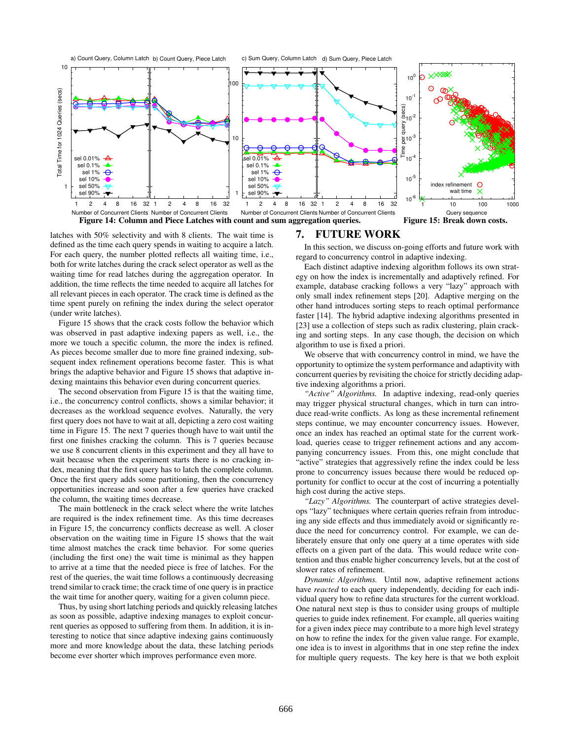

latches with 50% selectivity and with 8 clients. The wait time is defined as the time each query spends in waiting to acquire a latch. For each query, the number plotted reflects all waiting time, i.e., both for write latches during the crack select operator as well as the waiting time for read latches during the aggregation operator. In addition, the time reflects the time needed to acquire all latches for all relevant pieces in each operator. The crack time is defined as the time spent purely on refining the index during the select operator (under write latches).

Figure 15 shows that the crack costs follow the behavior which was observed in past adaptive indexing papers as well, i.e., the more we touch a specific column, the more the index is refined. As pieces become smaller due to more fine grained indexing, subsequent index refinement operations become faster. This is what brings the adaptive behavior and Figure 15 shows that adaptive indexing maintains this behavior even during concurrent queries.

The second observation from Figure 15 is that the waiting time, i.e., the concurrency control conflicts, shows a similar behavior; it decreases as the workload sequence evolves. Naturally, the very first query does not have to wait at all, depicting a zero cost waiting time in Figure 15. The next 7 queries though have to wait until the first one finishes cracking the column. This is 7 queries because we use 8 concurrent clients in this experiment and they all have to wait because when the experiment starts there is no cracking index, meaning that the first query has to latch the complete column. Once the first query adds some partitioning, then the concurrency opportunities increase and soon after a few queries have cracked the column, the waiting times decrease.

The main bottleneck in the crack select where the write latches are required is the index refinement time. As this time decreases in Figure 15, the concurrency conflicts decrease as well. A closer observation on the waiting time in Figure 15 shows that the wait time almost matches the crack time behavior. For some queries (including the first one) the wait time is minimal as they happen to arrive at a time that the needed piece is free of latches. For the rest of the queries, the wait time follows a continuously decreasing trend similar to crack time; the crack time of one query is in practice the wait time for another query, waiting for a given column piece.

Thus, by using short latching periods and quickly releasing latches as soon as possible, adaptive indexing manages to exploit concurrent queries as opposed to suffering from them. In addition, it is interesting to notice that since adaptive indexing gains continuously more and more knowledge about the data, these latching periods become ever shorter which improves performance even more.

### 7. FUTURE WORK

In this section, we discuss on-going efforts and future work with regard to concurrency control in adaptive indexing.

Each distinct adaptive indexing algorithm follows its own strategy on how the index is incrementally and adaptively refined. For example, database cracking follows a very "lazy" approach with only small index refinement steps [20]. Adaptive merging on the other hand introduces sorting steps to reach optimal performance faster [14]. The hybrid adaptive indexing algorithms presented in [23] use a collection of steps such as radix clustering, plain cracking and sorting steps. In any case though, the decision on which algorithm to use is fixed a priori.

We observe that with concurrency control in mind, we have the opportunity to optimize the system performance and adaptivity with concurrent queries by revisiting the choice for strictly deciding adaptive indexing algorithms a priori.

*"Active" Algorithms.* In adaptive indexing, read-only queries may trigger physical structural changes, which in turn can introduce read-write conflicts. As long as these incremental refinement steps continue, we may encounter concurrency issues. However, once an index has reached an optimal state for the current workload, queries cease to trigger refinement actions and any accompanying concurrency issues. From this, one might conclude that "active" strategies that aggressively refine the index could be less prone to concurrency issues because there would be reduced opportunity for conflict to occur at the cost of incurring a potentially high cost during the active steps.

*"Lazy" Algorithms.* The counterpart of active strategies develops "lazy" techniques where certain queries refrain from introducing any side effects and thus immediately avoid or significantly reduce the need for concurrency control. For example, we can deliberately ensure that only one query at a time operates with side effects on a given part of the data. This would reduce write contention and thus enable higher concurrency levels, but at the cost of slower rates of refinement.

*Dynamic Algorithms.* Until now, adaptive refinement actions have *reacted* to each query independently, deciding for each individual query how to refine data structures for the current workload. One natural next step is thus to consider using groups of multiple queries to guide index refinement. For example, all queries waiting for a given index piece may contribute to a more high level strategy on how to refine the index for the given value range. For example, one idea is to invest in algorithms that in one step refine the index for multiple query requests. The key here is that we both exploit